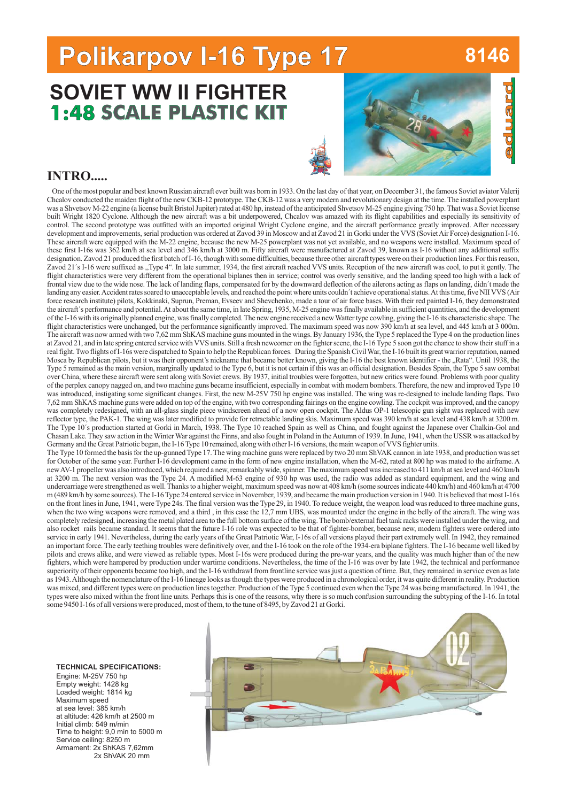# **Polikarpov I-16 Type 17 Polikarpov I-16 Type 8146**

## **1:48 SCALE PLASTIC KIT SCALE PLASTIC SOVIET WW II FIGHTER**



#### **INTRO.....**

One of the most popular and best known Russian aircraft ever built was born in 1933. On the last day of that year, on December 31, the famous Soviet aviator Valerij Chcalov conducted the maiden flight of the new CKB-12 prototype. The CKB-12 was a very modern and revolutionary design at the time. The installed powerplant was a Shvetsov M-22 engine (a license built Bristol Jupiter) rated at 480 hp, instead of the anticipated Shvetsov M-25 engine giving 750 hp. That was a Soviet license built Wright 1820 Cyclone. Although the new aircraft was a bit underpowered, Chcalov was amazed with its flight capabilities and especially its sensitivity of control. The second prototype was outfitted with an imported original Wright Cyclone engine, and the aircraft performance greatly improved. After necessary development and improvements, serial production was ordered at Zavod 39 in Moscow and at Zavod 21 in Gorki under the VVS (SovietAir Force) designation I-16. These aircraft were equipped with the M-22 engine, because the new M-25 powerplant was not yet available, and no weapons were installed. Maximum speed of these first I-16s was 362 km/h at sea level and 346 km/h at 3000 m. Fifty aircraft were manufactured at Zavod 39, known as I-16 without any additional suffix designation. Zavod 21 produced the first batch of I-16, though with some difficulties, because three other aircraft types were on their production lines. For this reason, Zavod 21's I-16 were suffixed as "Type 4". In late summer, 1934, the first aircraft reached VVS units. Reception of the new aircraft was cool, to put it gently. The flight characteristics were very different from the operational biplanes then in service; control was overly sensitive, and the landing speed too high with a lack of frontal view due to the wide nose. The lack of landing flaps, compensated for by the downward deflection of the ailerons acting as flaps on landing, didn´t made the landing any easier. Accident rates soared to unacceptable levels, and reached the point where units couldn't achieve operational status. At this time, five NII VVS (Air force research institute) pilots, Kokkinaki, Suprun, Preman, Evseev and Shevchenko, made a tour of air force bases. With their red painted I-16, they demonstrated the aircraft's performance and potential. At about the same time, in late Spring, 1935, M-25 engine was finally available in sufficient quantities, and the development of the I-16 with its originally planned engine, was finally completed. The new engine received a newWatter type cowling, giving the I-16 its characteristic shape. The flight characteristics were unchanged, but the performance significantly improved. The maximum speed was now 390 km/h at sea level, and 445 km/h at 3 000m. The aircraft was now armed with two 7,62 mm ShKAS machine guns mounted in the wings. By January 1936, the Type 5 replaced the Type 4 on the production lines at Zavod 21, and in late spring entered service with VVS units. Still a fresh newcomer on the fighter scene, the I-16 Type 5 soon got the chance to show their stuff in a real fight. Two flights of I-16s were dispatched to Spain to help the Republican forces. During the Spanish CivilWar, the I-16 built its great warrior reputation, named Mosca by Republican pilots, but it was their opponent's nickname that became better known, giving the I-16 the best known identifier - the "Rata". Until 1938, the Type 5 remained as the main version, marginally updated to the Type 6, but it is not certain if this was an official designation. Besides Spain, the Type 5 saw combat over China, where these aircraft were sent along with Soviet crews. By 1937, initial troubles were forgotten, but new critics were found. Problems with poor quality of the perplex canopy nagged on, and two machine guns became insufficient, especially in combat with modern bombers. Therefore, the new and improved Type 10 was introduced, instigating some significant changes. First, the new M-25V 750 hp engine was installed. The wing was re-designed to include landing flaps. Two 7,62 mm ShKAS machine guns were added on top of the engine, with two corresponding fairings on the engine cowling. The cockpit was improved, and the canopy was completely redesigned, with an all-glass single piece windscreen ahead of a now open cockpit. The Aldus OP-1 telescopic gun sight was replaced with new reflector type, the PAK-1. The wing was later modified to provide for retractable landing skis. Maximum speed was 390 km/h at sea level and 438 km/h at 3200 m. The Type 10´s production started at Gorki in March, 1938. The Type 10 reached Spain as well as China, and fought against the Japanese over Chalkin-Gol and Chasan Lake. They saw action in the Winter War against the Finns, and also fought in Poland in the Autumn of 1939. In June, 1941, when the USSR was attacked by Germany and the Great Patriotic began, the I-16 Type 10 remained, along with other I-16 versions, the main weapon of VVS fighter units. The Type 10 formed the basis for the up-gunned Type 17. The wing machine guns were replaced by two 20 mm ShVAK cannon in late 1938, and production was set for October of the same year. Further I-16 development came in the form of new engine installation, when the M-62, rated at 800 hp was mated to the airframe. A newAV-1 propeller was also introduced, which required a new, remarkably wide, spinner. The maximum speed was increased to 411 km/h at sea level and 460 km/h at 3200 m. The next version was the Type 24. A modified M-63 engine of 930 hp was used, the radio was added as standard equipment, and the wing and undercarriage were strengthened as well. Thanks to a higher weight, maximum speed was now at 408 km/h (some sources indicate 440 km/h) and 460 km/h at 4700 m (489 km/h by some sources). The I-16 Type 24 entered service in November, 1939, and became the main production version in 1940. It is believed that mostI-16s on the front lines in June, 1941, were Type 24s. The final version was the Type 29, in 1940. To reduce weight, the weapon load was reduced to three machine guns, when the two wing weapons were removed, and a third, in this case the 12,7 mm UBS, was mounted under the engine in the belly of the aircraft. The wing was completely redesigned, increasing the metal plated area to the full bottom surface of the wing. The bomb/external fuel tank racks were installed under the wing, and also rocket rails became standard. It seems that the future I-16 role was expected to be that of fighter-bomber, because new, modern fighters were ordered into service in early 1941. Nevertheless, during the early years of the Great Patriotic War, I-16s of all versions played their part extremely well. In 1942, they remained an important force. The early teething troubles were definitively over, and the I-16 took on the role of the 1934-era biplane fighters. The I-16 became well liked by pilots and crews alike, and were viewed as reliable types. Most I-16s were produced during the pre-war years, and the quality was much higher than of the new fighters, which were hampered by production under wartime conditions. Nevertheless, the time of the I-16 was over by late 1942, the technical and performance superiority of their opponents became too high, and the I-16 withdrawl from frontline service was just a question of time. But, they remained in service even as late as 1943.Although the nomenclature of the I-16 lineage looks as though the types were produced in a chronological order, it was quite different in reality. Production was mixed, and different types were on production lines together. Production of the Type 5 continued even when the Type 24 was being manufactured. In 1941, the types were also mixed within the front line units. Perhaps this is one of the reasons, why there is so much confusion surrounding the subtyping of the I-16. In total some 9450 I-16s of all versions were produced, most of them, to the tune of 8495, by Zavod 21 at Gorki.



#### **TECHNICAL SPECIFICATIONS:**

Engine: M-25V 750 hp Empty weight: 1428 kg Loaded weight: 1814 kg Maximum speed at sea level: 385 km/h at altitude: 426 km/h at 2500 m Initial climb: 549 m/min Time to height: 9,0 min to 5000 m Service ceiling: 8250 m Armament: 2x ShKAS 7,62mm 2x ShVAK 20 mm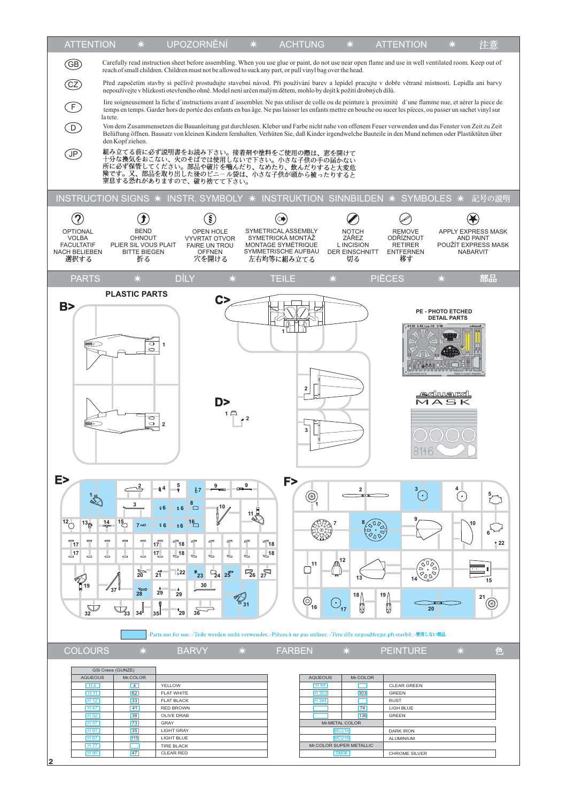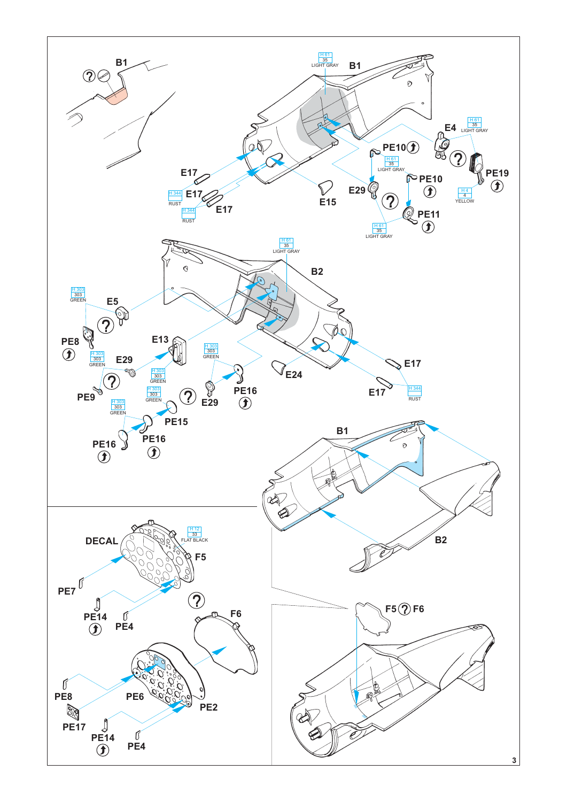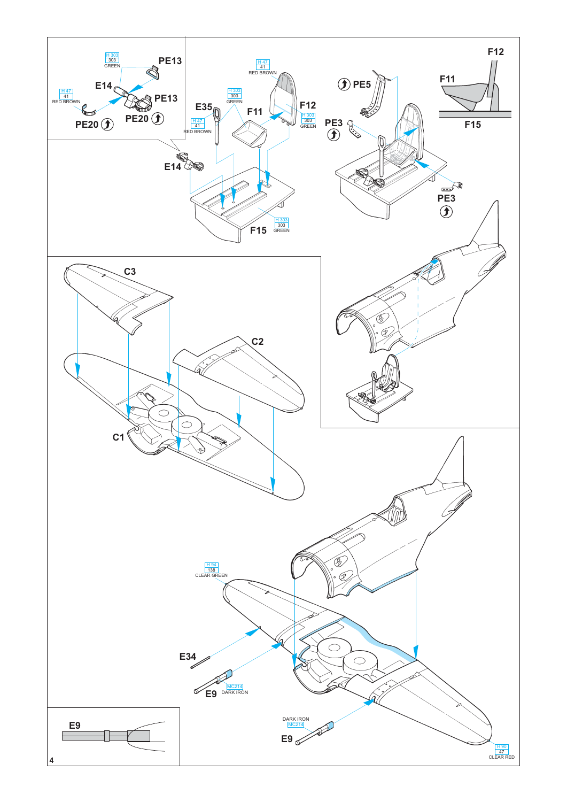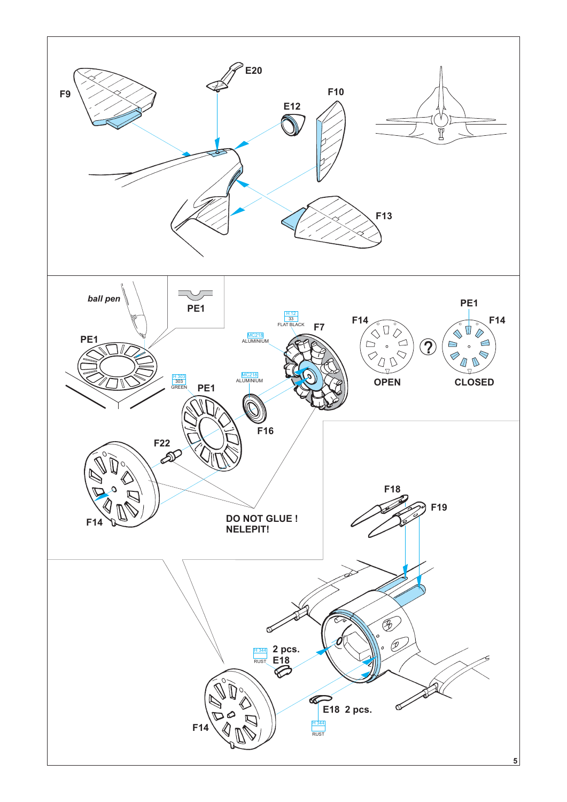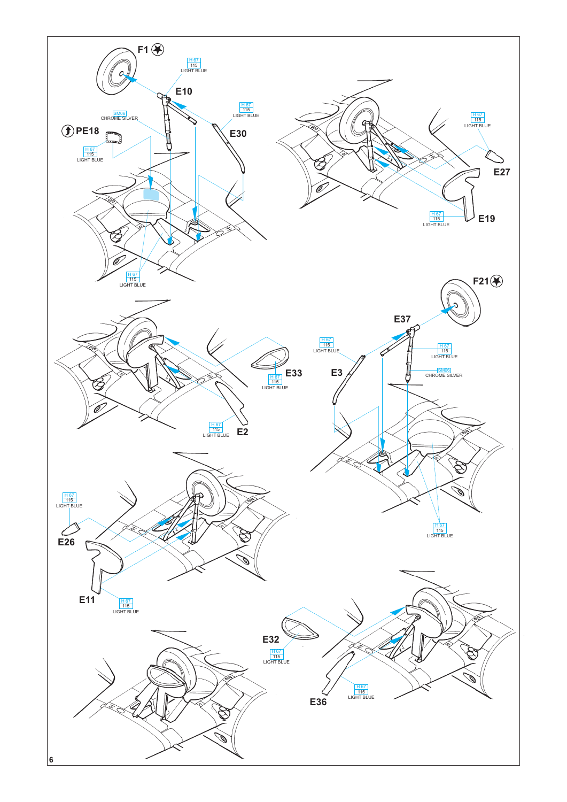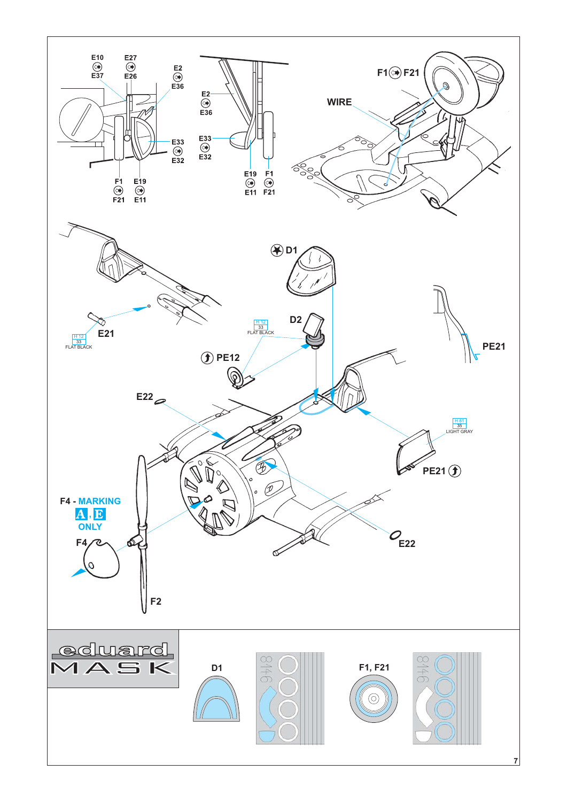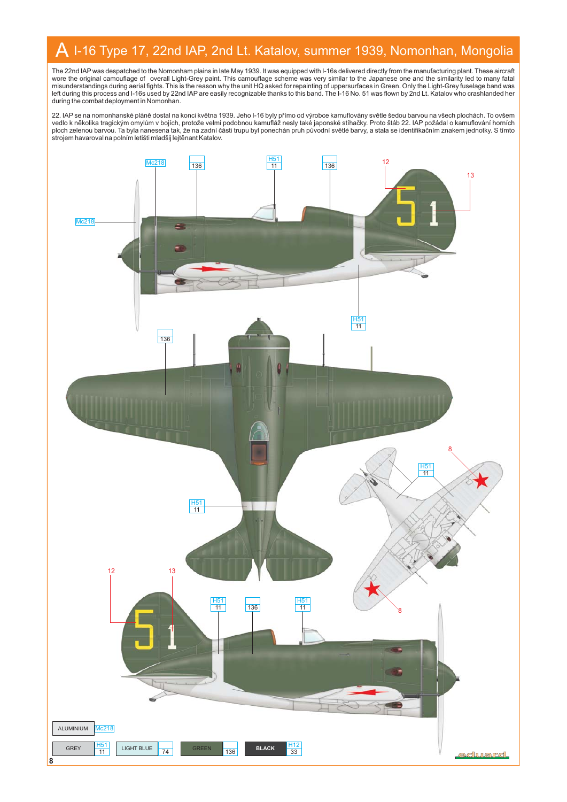#### A I-16 Type 17, 22nd IAP, 2nd Lt. Katalov, summer 1939, Nomonhan, Mongolia

The 22nd IAP was despatched to the Nomonham plains in late May 1939. It was equipped with I-16s delivered directly from the manufacturing plant. These aircrafi<br>wore the original camouflage of overall Light-Grey paint. This during the combat deployment in Nomonhan.

22. IAP se na nomonhanské pláně dostal na konci května 1939. Jeho l-16 byly přímo od výrobce kamuflovány světle šedou barvou na všech plochách. To ovšem<br>vedlo k několika tragickým omylům v bojích, protože velmi podobnou ka ploch zelenou barvou. Ta byla nanesena tak, že na zadní části trupu byl ponechán pruh původní světlé barvy, a stala se identifikačním znakem jednotky. S tímto strojem havaroval na polním letišti mladšij lejtěnant Katalov.

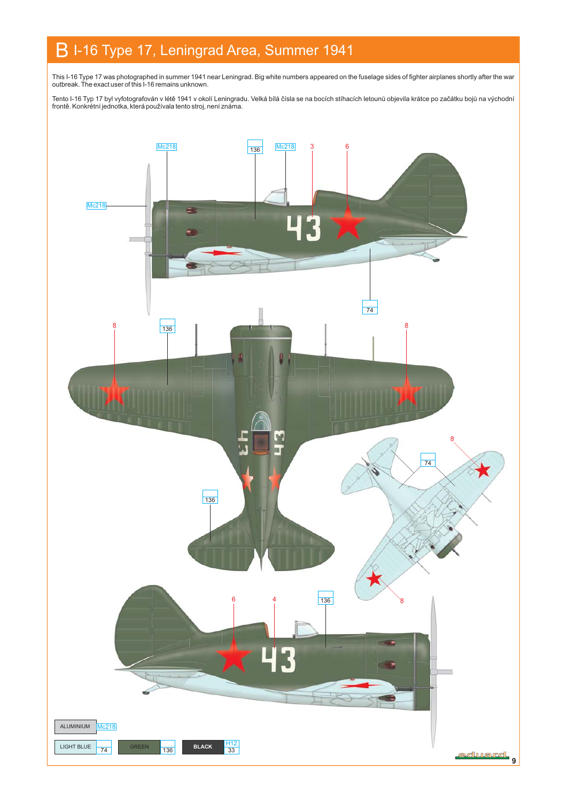## B I-16 Type 17, Leningrad Area, Summer 1941

This I-16 Type 17 was photographed in summer 1941 near Leningrad. Big white numbers appeared on the fuselage sides of fighter airplanes shortly after the war outbreak. The exact user of this I-16 remains unknown.

Tento I-16 Typ 17 byl vyfotografován v létě 1941 v okolí Leningradu. Velká bílá čísla se na bocích stíhacích letounů objevila krátce po začátku bojů na východní frontě. Konkrétní jednotka, která používala tento stroj, není známa.

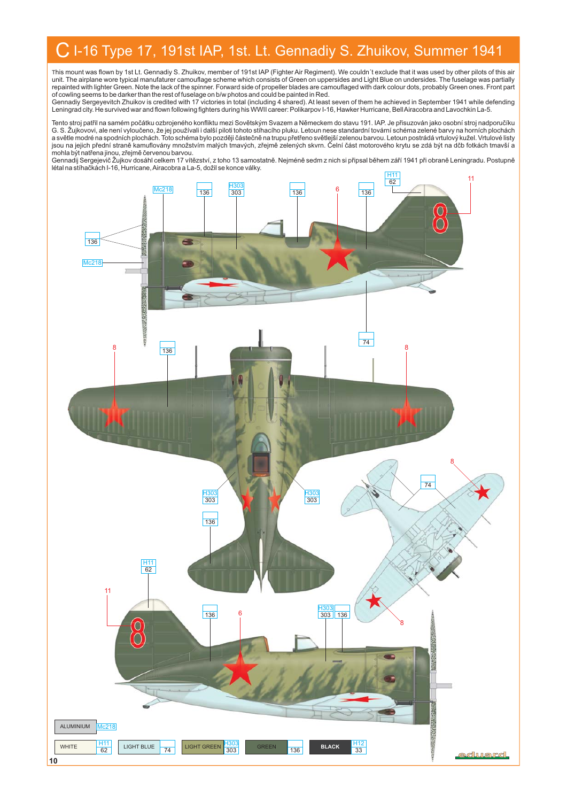### C I-16 Type 17, 191st IAP, 1st. Lt. Gennadiy S. Zhuikov, Summer 1941

This mount was flown by 1st Lt. Gennadiy S. Zhuikov, member of 191st IAP (Fighter Air Regiment). We couldn´t exclude that it was used by other pilots of this air unit. The airplane wore typical manufaturer camouflage scheme which consists of Green on uppersides and Light Blue on undersides. The fuselage was partially<br>repainted with lighter Green. Note the lack of the spinner. Forwa

of cowling seems to be darker than the rest of fuselage on b/w photos and could be painted in Red.<br>Gennadiy Sergeyevitch Zhuikov is credited with 17 victories in total (including 4 shared). At least seven of them he achiev Leningrad city. He survived war and flown following fighters during his WWII career: Polikarpov I-16, Hawker Hurricane, BellAiracobra and Lavochkin La-5.

Tento stroj patřil na samém počátku ozbrojeného konfliktu mezi Sovětským Svazem a Německem do stavu 191. IAP. Je přisuzován jako osobní stroj nadporučíku G. S. Žujkovovi, ale není vyloučeno, že jej používali i další piloti tohoto stíhacího pluku. Letoun nese standardní tovární schéma zelené barvy na horních plochách a světle modré na spodních plochách. Toto schéma bylo později částečně na trupu přetřeno světlejší zelenou barvou. Letoun postrádá vrtulový kužel. Vrtulové listy jsou na jejich přední straně kamuflovány množstvím malých tmavých, zřejmě zelených skvrn. Čelní část motorového krytu se zdá být na dčb fotkách tmavší a<br>mohla být natřena jinou, zřejmě červenou barvou.

Gennadij Sergejevič Žujkov dosáhl celkem 17 vítězství, z toho 13 samostatně. Nejméně sedm z nich si připsal během září 1941 při obraně Leningradu. Postupně létal na stíhačkách I-16, Hurricane, Airacobra a La-5, dožil se konce války.

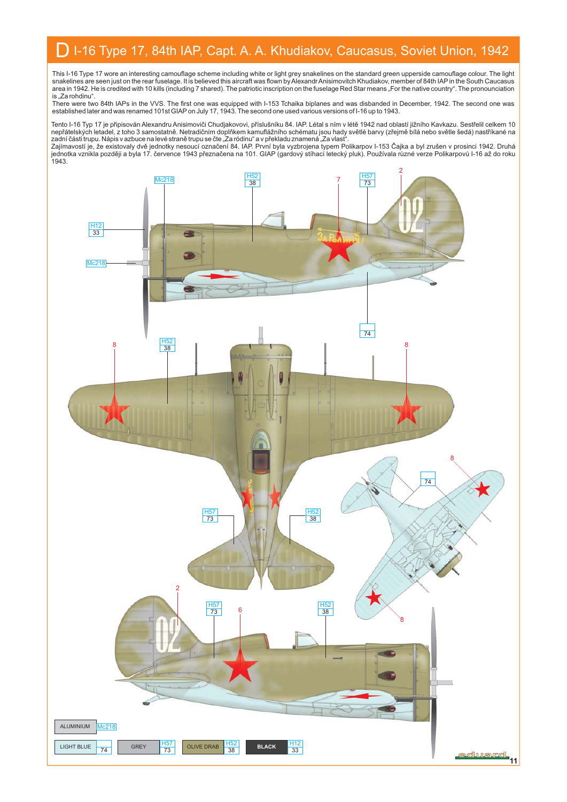#### D I-16 Type 17, 84th IAP, Capt. A. A. Khudiakov, Caucasus, Soviet Union, 1942

This I-16 Type 17 wore an interesting camouflage scheme including white or light grey snakelines on the standard green upperside camouflage colour. The light<br>snakelines are seen just on the rear fuselage. It is believed th is "Za rohdinu".

There were two 84th IAPs in the VVS. The first one was equipped with I-153 Tchaika biplanes and was disbanded in December, 1942. The second one was<br>established later and was renamed 101st GIAP on July 17, 1943. The second

Tento I-16 Typ 17 je připisován Alexandru Anisimoviči Chudjakovovi, příslušníku 84. IAP. Létal s ním v létě 1942 nad oblastí jižního Kavkazu. Sestřelil celkem 10<br>nepřátelských letadel, z toho 3 samostatně. Netradičním dopl

Zajímavostí je, že existovaly dvě jednotky nesoucí označení 84. IAP. První byla vyzbrojena typem Polikarpov I-153 Čajka a byl zrušen v prosinci 1942. Druhá<br>jednotka vznikla později a byla 17. července 1943 přeznačena na 10 1943.